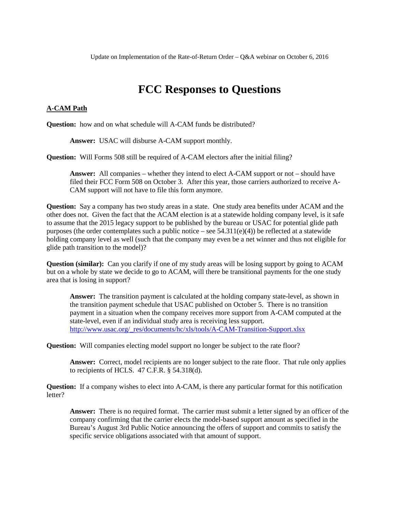# **FCC Responses to Questions**

#### **A-CAM Path**

**Question:** how and on what schedule will A-CAM funds be distributed?

**Answer:** USAC will disburse A-CAM support monthly.

**Question:** Will Forms 508 still be required of A-CAM electors after the initial filing?

**Answer:** All companies – whether they intend to elect A-CAM support or not – should have filed their FCC Form 508 on October 3. After this year, those carriers authorized to receive A-CAM support will not have to file this form anymore.

**Question:** Say a company has two study areas in a state. One study area benefits under ACAM and the other does not. Given the fact that the ACAM election is at a statewide holding company level, is it safe to assume that the 2015 legacy support to be published by the bureau or USAC for potential glide path purposes (the order contemplates such a public notice – see  $54.311(e)(4)$ ) be reflected at a statewide holding company level as well (such that the company may even be a net winner and thus not eligible for glide path transition to the model)?

**Question (similar):** Can you clarify if one of my study areas will be losing support by going to ACAM but on a whole by state we decide to go to ACAM, will there be transitional payments for the one study area that is losing in support?

**Answer:** The transition payment is calculated at the holding company state-level, as shown in the transition payment schedule that USAC published on October 5. There is no transition payment in a situation when the company receives more support from A-CAM computed at the state-level, even if an individual study area is receiving less support. [http://www.usac.org/\\_res/documents/hc/xls/tools/A-CAM-Transition-Support.xlsx](http://www.usac.org/_res/documents/hc/xls/tools/A-CAM-Transition-Support.xlsx)

**Question:** Will companies electing model support no longer be subject to the rate floor?

**Answer:** Correct, model recipients are no longer subject to the rate floor. That rule only applies to recipients of HCLS. 47 C.F.R. § 54.318(d).

**Question:** If a company wishes to elect into A-CAM, is there any particular format for this notification letter?

**Answer:** There is no required format. The carrier must submit a letter signed by an officer of the company confirming that the carrier elects the model-based support amount as specified in the Bureau's August 3rd Public Notice announcing the offers of support and commits to satisfy the specific service obligations associated with that amount of support.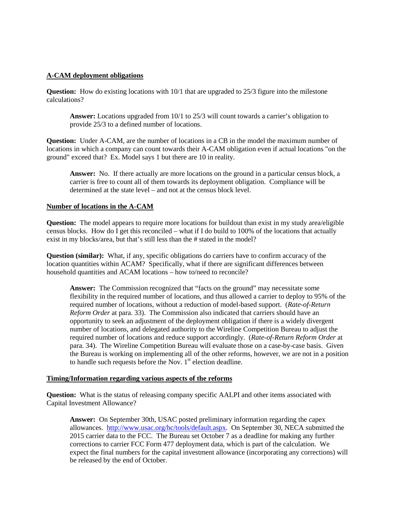## **A-CAM deployment obligations**

**Question:** How do existing locations with 10/1 that are upgraded to 25/3 figure into the milestone calculations?

**Answer:** Locations upgraded from 10/1 to 25/3 will count towards a carrier's obligation to provide 25/3 to a defined number of locations.

**Question:** Under A-CAM, are the number of locations in a CB in the model the maximum number of locations in which a company can count towards their A-CAM obligation even if actual locations "on the ground" exceed that? Ex. Model says 1 but there are 10 in reality.

**Answer:** No. If there actually are more locations on the ground in a particular census block, a carrier is free to count all of them towards its deployment obligation. Compliance will be determined at the state level – and not at the census block level.

#### **Number of locations in the A-CAM**

**Question:** The model appears to require more locations for buildout than exist in my study area/eligible census blocks. How do I get this reconciled – what if I do build to 100% of the locations that actually exist in my blocks/area, but that's still less than the # stated in the model?

**Question (similar):** What, if any, specific obligations do carriers have to confirm accuracy of the location quantities within ACAM? Specifically, what if there are significant differences between household quantities and ACAM locations – how to/need to reconcile?

**Answer:** The Commission recognized that "facts on the ground" may necessitate some flexibility in the required number of locations, and thus allowed a carrier to deploy to 95% of the required number of locations, without a reduction of model-based support. (*Rate-of-Return Reform Order* at para. 33). The Commission also indicated that carriers should have an opportunity to seek an adjustment of the deployment obligation if there is a widely divergent number of locations, and delegated authority to the Wireline Competition Bureau to adjust the required number of locations and reduce support accordingly. (*Rate-of-Return Reform Order* at para. 34). The Wireline Competition Bureau will evaluate those on a case-by-case basis. Given the Bureau is working on implementing all of the other reforms, however, we are not in a position to handle such requests before the Nov.  $1<sup>st</sup>$  election deadline.

#### **Timing/Information regarding various aspects of the reforms**

**Question:** What is the status of releasing company specific AALPI and other items associated with Capital Investment Allowance?

**Answer:** On September 30th, USAC posted preliminary information regarding the capex allowances. [http://www.usac.org/hc/tools/default.aspx.](http://www.usac.org/hc/tools/default.aspx) On September 30, NECA submitted the 2015 carrier data to the FCC. The Bureau set October 7 as a deadline for making any further corrections to carrier FCC Form 477 deployment data, which is part of the calculation. We expect the final numbers for the capital investment allowance (incorporating any corrections) will be released by the end of October.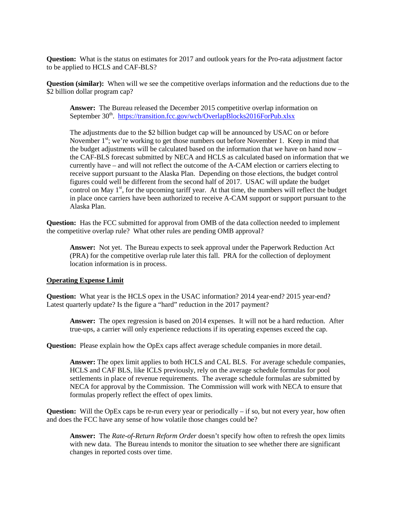**Question:** What is the status on estimates for 2017 and outlook years for the Pro-rata adjustment factor to be applied to HCLS and CAF-BLS?

**Question (similar):** When will we see the competitive overlaps information and the reductions due to the \$2 billion dollar program cap?

**Answer:** The Bureau released the December 2015 competitive overlap information on September 30<sup>th</sup>. <https://transition.fcc.gov/wcb/OverlapBlocks2016ForPub.xlsx>

The adjustments due to the \$2 billion budget cap will be announced by USAC on or before November  $1<sup>st</sup>$ ; we're working to get those numbers out before November 1. Keep in mind that the budget adjustments will be calculated based on the information that we have on hand now – the CAF-BLS forecast submitted by NECA and HCLS as calculated based on information that we currently have – and will not reflect the outcome of the A-CAM election or carriers electing to receive support pursuant to the Alaska Plan. Depending on those elections, the budget control figures could well be different from the second half of 2017. USAC will update the budget control on May 1<sup>st</sup>, for the upcoming tariff year. At that time, the numbers will reflect the budget in place once carriers have been authorized to receive A-CAM support or support pursuant to the Alaska Plan.

**Question:** Has the FCC submitted for approval from OMB of the data collection needed to implement the competitive overlap rule? What other rules are pending OMB approval?

**Answer:** Not yet. The Bureau expects to seek approval under the Paperwork Reduction Act (PRA) for the competitive overlap rule later this fall. PRA for the collection of deployment location information is in process.

#### **Operating Expense Limit**

**Question:** What year is the HCLS opex in the USAC information? 2014 year-end? 2015 year-end? Latest quarterly update? Is the figure a "hard" reduction in the 2017 payment?

**Answer:** The opex regression is based on 2014 expenses. It will not be a hard reduction. After true-ups, a carrier will only experience reductions if its operating expenses exceed the cap.

**Question:** Please explain how the OpEx caps affect average schedule companies in more detail.

**Answer:** The opex limit applies to both HCLS and CAL BLS. For average schedule companies, HCLS and CAF BLS, like ICLS previously, rely on the average schedule formulas for pool settlements in place of revenue requirements. The average schedule formulas are submitted by NECA for approval by the Commission. The Commission will work with NECA to ensure that formulas properly reflect the effect of opex limits.

**Question:** Will the OpEx caps be re-run every year or periodically – if so, but not every year, how often and does the FCC have any sense of how volatile those changes could be?

**Answer:** The *Rate-of-Return Reform Order* doesn't specify how often to refresh the opex limits with new data. The Bureau intends to monitor the situation to see whether there are significant changes in reported costs over time.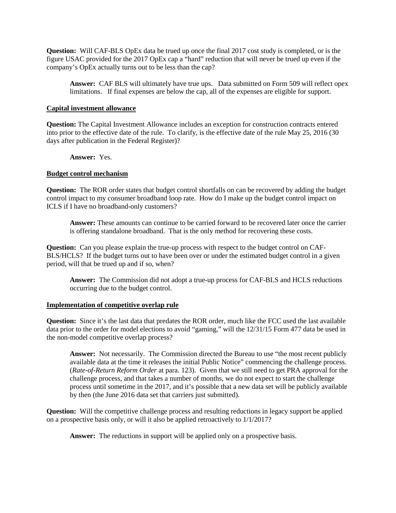**Question:** Will CAF-BLS OpEx data be trued up once the final 2017 cost study is completed, or is the figure USAC provided for the 2017 OpEx cap a "hard" reduction that will never be trued up even if the company's OpEx actually turns out to be less than the cap?

**Answer:** CAF BLS will ultimately have true ups. Data submitted on Form 509 will reflect opex limitations. If final expenses are below the cap, all of the expenses are eligible for support.

### **Capital investment allowance**

**Question:** The Capital Investment Allowance includes an exception for construction contracts entered into prior to the effective date of the rule. To clarify, is the effective date of the rule May 25, 2016 (30 days after publication in the Federal Register)?

**Answer:** Yes.

#### **Budget control mechanism**

**Question:** The ROR order states that budget control shortfalls on can be recovered by adding the budget control impact to my consumer broadband loop rate. How do I make up the budget control impact on ICLS if I have no broadband-only customers?

**Answer:** These amounts can continue to be carried forward to be recovered later once the carrier is offering standalone broadband. That is the only method for recovering these costs.

**Question:** Can you please explain the true-up process with respect to the budget control on CAF-BLS/HCLS? If the budget turns out to have been over or under the estimated budget control in a given period, will that be trued up and if so, when?

**Answer:** The Commission did not adopt a true-up process for CAF-BLS and HCLS reductions occurring due to the budget control.

## **Implementation of competitive overlap rule**

**Question:** Since it's the last data that predates the ROR order, much like the FCC used the last available data prior to the order for model elections to avoid "gaming," will the 12/31/15 Form 477 data be used in the non-model competitive overlap process?

**Answer:** Not necessarily. The Commission directed the Bureau to use "the most recent publicly available data at the time it releases the initial Public Notice" commencing the challenge process. (*Rate-of-Return Reform Order* at para. 123). Given that we still need to get PRA approval for the challenge process, and that takes a number of months, we do not expect to start the challenge process until sometime in the 2017, and it's possible that a new data set will be publicly available by then (the June 2016 data set that carriers just submitted).

**Question:** Will the competitive challenge process and resulting reductions in legacy support be applied on a prospective basis only, or will it also be applied retroactively to 1/1/2017?

**Answer:** The reductions in support will be applied only on a prospective basis.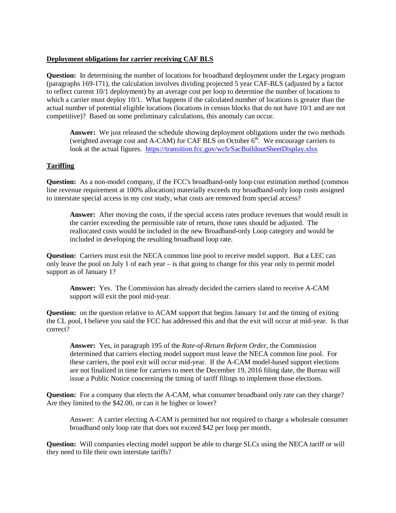## **Deployment obligations for carrier receiving CAF BLS**

**Question:** In determining the number of locations for broadband deployment under the Legacy program (paragraphs 169-171), the calculation involves dividing projected 5 year CAF-BLS (adjusted by a factor to reflect current 10/1 deployment) by an average cost per loop to determine the number of locations to which a carrier must deploy 10/1. What happens if the calculated number of locations is greater than the actual number of potential eligible locations (locations in census blocks that do not have 10/1 and are not competitive)? Based on some preliminary calculations, this anomaly can occur.

**Answer:** We just released the schedule showing deployment obligations under the two methods (weighted average cost and A-CAM) for CAF BLS on October  $6<sup>th</sup>$ . We encourage carriers to look at the actual figures. <https://transition.fcc.gov/wcb/SacBuildoutSheetDisplay.xlsx>

## **Tariffing**

**Question:** As a non-model company, if the FCC's broadband-only loop cost estimation method (common line revenue requirement at 100% allocation) materially exceeds my broadband-only loop costs assigned to interstate special access in my cost study, what costs are removed from special access?

**Answer:** After moving the costs, if the special access rates produce revenues that would result in the carrier exceeding the permissible rate of return, those rates should be adjusted. The reallocated costs would be included in the new Broadband-only Loop category and would be included in developing the resulting broadband loop rate.

**Question:** Carriers must exit the NECA common line pool to receive model support. But a LEC can only leave the pool on July 1 of each year – is that going to change for this year only to permit model support as of January 1?

**Answer:** Yes. The Commission has already decided the carriers slated to receive A-CAM support will exit the pool mid-year.

**Question:** on the question relative to ACAM support that begins January 1st and the timing of exiting the CL pool, I believe you said the FCC has addressed this and that the exit will occur at mid-year. Is that correct?

**Answer:** Yes, in paragraph 195 of the *Rate-of-Return Reform Order*, the Commission determined that carriers electing model support must leave the NECA common line pool. For these carriers, the pool exit will occur mid-year. If the A-CAM model-based support elections are not finalized in time for carriers to meet the December 19, 2016 filing date, the Bureau will issue a Public Notice concerning the timing of tariff filings to implement those elections.

**Question:** For a company that elects the A-CAM, what consumer broadband only rate can they charge? Are they limited to the \$42.00, or can it be higher or lower?

Answer: A carrier electing A-CAM is permitted but not required to charge a wholesale consumer broadband only loop rate that does not exceed \$42 per loop per month.

**Question:** Will companies electing model support be able to charge SLCs using the NECA tariff or will they need to file their own interstate tariffs?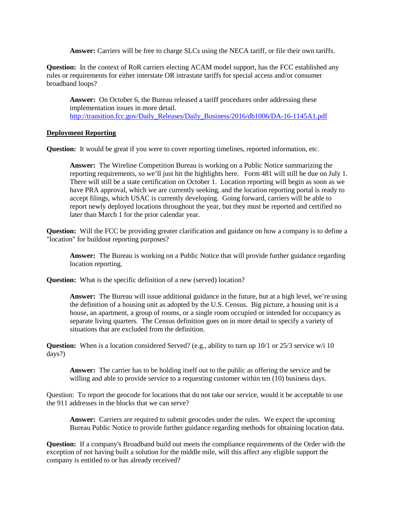**Answer:** Carriers will be free to charge SLCs using the NECA tariff, or file their own tariffs.

**Question:** In the context of RoR carriers electing ACAM model support, has the FCC established any rules or requirements for either interstate OR intrastate tariffs for special access and/or consumer broadband loops?

**Answer:** On October 6, the Bureau released a tariff procedures order addressing these implementation issues in more detail. [http://transition.fcc.gov/Daily\\_Releases/Daily\\_Business/2016/db1006/DA-16-1145A1.pdf](http://transition.fcc.gov/Daily_Releases/Daily_Business/2016/db1006/DA-16-1145A1.pdf)

## **Deployment Reporting**

**Question:** It would be great if you were to cover reporting timelines, reported information, etc.

**Answer:** The Wireline Competition Bureau is working on a Public Notice summarizing the reporting requirements, so we'll just hit the highlights here. Form 481 will still be due on July 1. There will still be a state certification on October 1. Location reporting will begin as soon as we have PRA approval, which we are currently seeking, and the location reporting portal is ready to accept filings, which USAC is currently developing. Going forward, carriers will be able to report newly deployed locations throughout the year, but they must be reported and certified no later than March 1 for the prior calendar year.

**Question:** Will the FCC be providing greater clarification and guidance on how a company is to define a "location" for buildout reporting purposes?

**Answer:** The Bureau is working on a Public Notice that will provide further guidance regarding location reporting.

**Question:** What is the specific definition of a new (served) location?

**Answer:** The Bureau will issue additional guidance in the future, but at a high level, we're using the definition of a housing unit as adopted by the U.S. Census. Big picture, a housing unit is a house, an apartment, a group of rooms, or a single room occupied or intended for occupancy as separate living quarters. The Census definition goes on in more detail to specify a variety of situations that are excluded from the definition.

**Question:** When is a location considered Served? (e.g., ability to turn up 10/1 or 25/3 service w/i 10 days?)

**Answer:** The carrier has to be holding itself out to the public as offering the service and be willing and able to provide service to a requesting customer within ten (10) business days.

Question: To report the geocode for locations that do not take our service, would it be acceptable to use the 911 addresses in the blocks that we can serve?

**Answer:** Carriers are required to submit geocodes under the rules. We expect the upcoming Bureau Public Notice to provide further guidance regarding methods for obtaining location data.

**Question:** If a company's Broadband build out meets the compliance requirements of the Order with the exception of not having built a solution for the middle mile, will this affect any eligible support the company is entitled to or has already received?